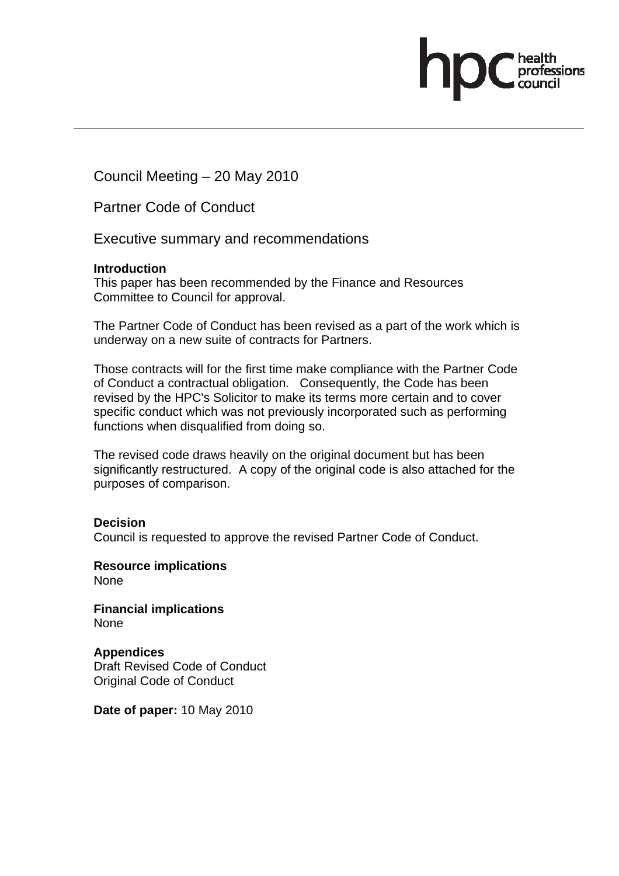Council Meeting – 20 May 2010

Partner Code of Conduct

Executive summary and recommendations

### **Introduction**

This paper has been recommended by the Finance and Resources Committee to Council for approval.

The Partner Code of Conduct has been revised as a part of the work which is underway on a new suite of contracts for Partners.

fessions

Those contracts will for the first time make compliance with the Partner Code of Conduct a contractual obligation. Consequently, the Code has been revised by the HPC's Solicitor to make its terms more certain and to cover specific conduct which was not previously incorporated such as performing functions when disqualified from doing so.

The revised code draws heavily on the original document but has been significantly restructured. A copy of the original code is also attached for the purposes of comparison.

### **Decision**

Council is requested to approve the revised Partner Code of Conduct.

**Resource implications**  None

**Financial implications**  None

**Appendices**  Draft Revised Code of Conduct Original Code of Conduct

**Date of paper:** 10 May 2010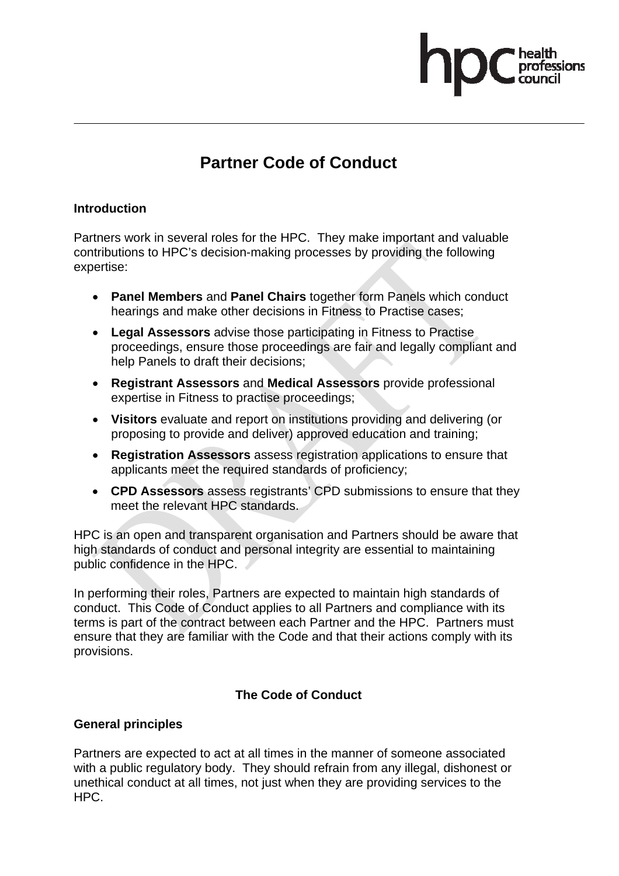# **Partner Code of Conduct**

### **Introduction**

Partners work in several roles for the HPC. They make important and valuable contributions to HPC's decision-making processes by providing the following expertise:

- **Panel Members** and **Panel Chairs** together form Panels which conduct hearings and make other decisions in Fitness to Practise cases;
- **Legal Assessors** advise those participating in Fitness to Practise proceedings, ensure those proceedings are fair and legally compliant and help Panels to draft their decisions;
- **Registrant Assessors** and **Medical Assessors** provide professional expertise in Fitness to practise proceedings;
- **Visitors** evaluate and report on institutions providing and delivering (or proposing to provide and deliver) approved education and training;
- **Registration Assessors** assess registration applications to ensure that applicants meet the required standards of proficiency;
- **CPD Assessors** assess registrants' CPD submissions to ensure that they meet the relevant HPC standards.

HPC is an open and transparent organisation and Partners should be aware that high standards of conduct and personal integrity are essential to maintaining public confidence in the HPC.

In performing their roles, Partners are expected to maintain high standards of conduct. This Code of Conduct applies to all Partners and compliance with its terms is part of the contract between each Partner and the HPC. Partners must ensure that they are familiar with the Code and that their actions comply with its provisions.

# **The Code of Conduct**

### **General principles**

Partners are expected to act at all times in the manner of someone associated with a public regulatory body. They should refrain from any illegal, dishonest or unethical conduct at all times, not just when they are providing services to the HPC.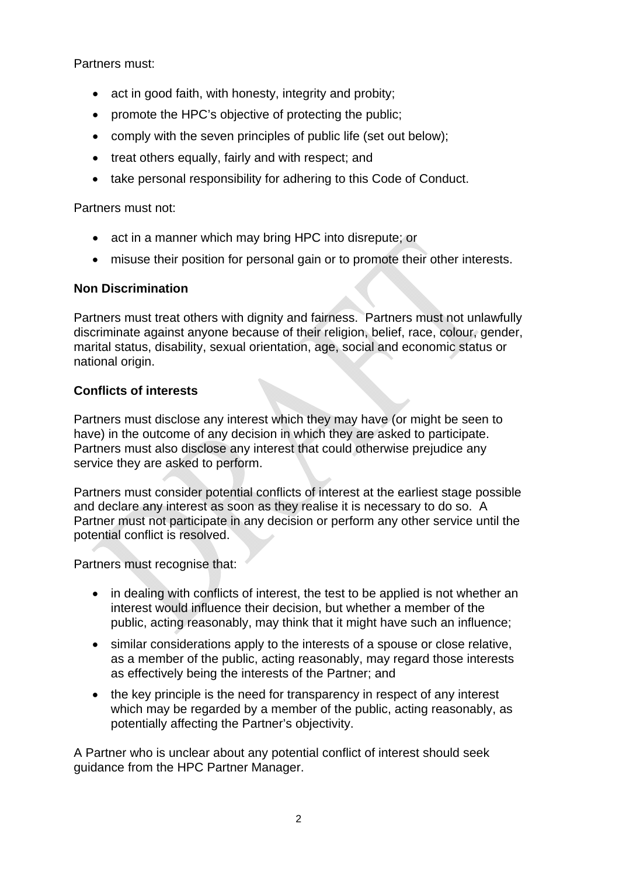Partners must:

- act in good faith, with honesty, integrity and probity;
- promote the HPC's objective of protecting the public;
- comply with the seven principles of public life (set out below);
- treat others equally, fairly and with respect; and
- take personal responsibility for adhering to this Code of Conduct.

Partners must not:

- act in a manner which may bring HPC into disrepute; or
- misuse their position for personal gain or to promote their other interests.

### **Non Discrimination**

Partners must treat others with dignity and fairness. Partners must not unlawfully discriminate against anyone because of their religion, belief, race, colour, gender, marital status, disability, sexual orientation, age, social and economic status or national origin.

### **Conflicts of interests**

Partners must disclose any interest which they may have (or might be seen to have) in the outcome of any decision in which they are asked to participate. Partners must also disclose any interest that could otherwise prejudice any service they are asked to perform.

Partners must consider potential conflicts of interest at the earliest stage possible and declare any interest as soon as they realise it is necessary to do so. A Partner must not participate in any decision or perform any other service until the potential conflict is resolved.

Partners must recognise that:

- in dealing with conflicts of interest, the test to be applied is not whether an interest would influence their decision, but whether a member of the public, acting reasonably, may think that it might have such an influence;
- similar considerations apply to the interests of a spouse or close relative, as a member of the public, acting reasonably, may regard those interests as effectively being the interests of the Partner; and
- the key principle is the need for transparency in respect of any interest which may be regarded by a member of the public, acting reasonably, as potentially affecting the Partner's objectivity.

A Partner who is unclear about any potential conflict of interest should seek guidance from the HPC Partner Manager.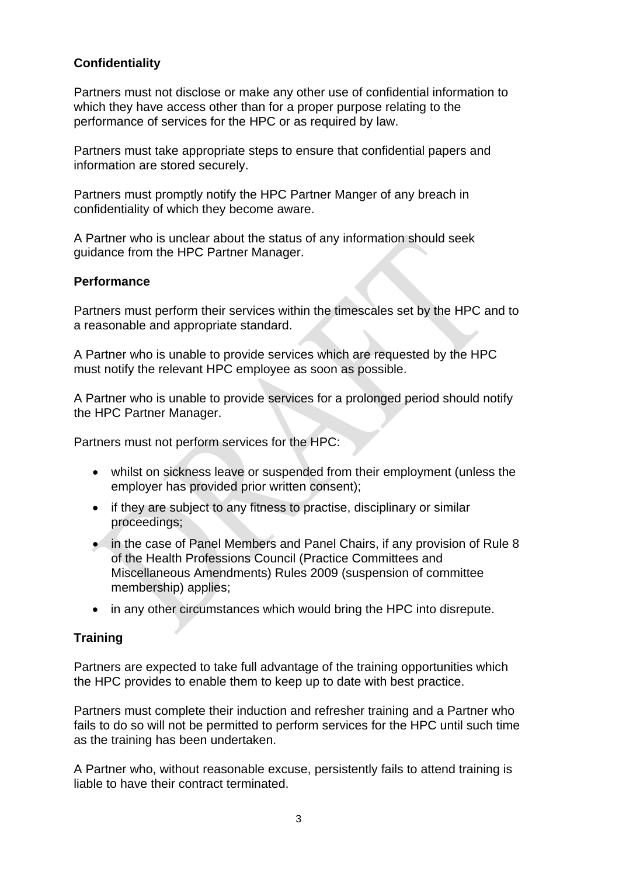### **Confidentiality**

Partners must not disclose or make any other use of confidential information to which they have access other than for a proper purpose relating to the performance of services for the HPC or as required by law.

Partners must take appropriate steps to ensure that confidential papers and information are stored securely.

Partners must promptly notify the HPC Partner Manger of any breach in confidentiality of which they become aware.

A Partner who is unclear about the status of any information should seek guidance from the HPC Partner Manager.

### **Performance**

Partners must perform their services within the timescales set by the HPC and to a reasonable and appropriate standard.

A Partner who is unable to provide services which are requested by the HPC must notify the relevant HPC employee as soon as possible.

A Partner who is unable to provide services for a prolonged period should notify the HPC Partner Manager.

Partners must not perform services for the HPC:

- whilst on sickness leave or suspended from their employment (unless the employer has provided prior written consent);
- if they are subject to any fitness to practise, disciplinary or similar proceedings;
- in the case of Panel Members and Panel Chairs, if any provision of Rule 8 of the Health Professions Council (Practice Committees and Miscellaneous Amendments) Rules 2009 (suspension of committee membership) applies;
- in any other circumstances which would bring the HPC into disrepute.

### **Training**

Partners are expected to take full advantage of the training opportunities which the HPC provides to enable them to keep up to date with best practice.

Partners must complete their induction and refresher training and a Partner who fails to do so will not be permitted to perform services for the HPC until such time as the training has been undertaken.

A Partner who, without reasonable excuse, persistently fails to attend training is liable to have their contract terminated.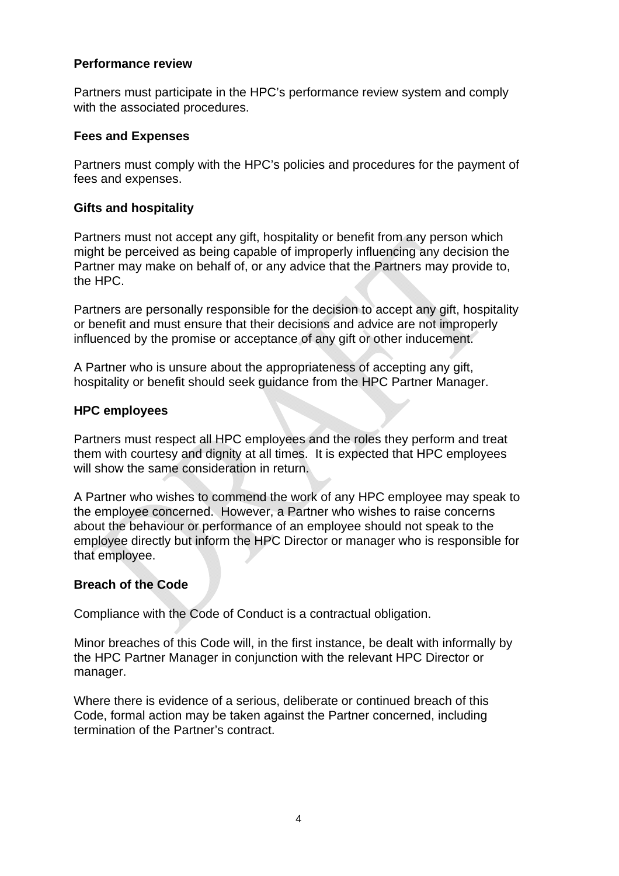### **Performance review**

Partners must participate in the HPC's performance review system and comply with the associated procedures.

#### **Fees and Expenses**

Partners must comply with the HPC's policies and procedures for the payment of fees and expenses.

#### **Gifts and hospitality**

Partners must not accept any gift, hospitality or benefit from any person which might be perceived as being capable of improperly influencing any decision the Partner may make on behalf of, or any advice that the Partners may provide to, the HPC.

Partners are personally responsible for the decision to accept any gift, hospitality or benefit and must ensure that their decisions and advice are not improperly influenced by the promise or acceptance of any gift or other inducement.

A Partner who is unsure about the appropriateness of accepting any gift, hospitality or benefit should seek guidance from the HPC Partner Manager.

### **HPC employees**

Partners must respect all HPC employees and the roles they perform and treat them with courtesy and dignity at all times. It is expected that HPC employees will show the same consideration in return.

A Partner who wishes to commend the work of any HPC employee may speak to the employee concerned. However, a Partner who wishes to raise concerns about the behaviour or performance of an employee should not speak to the employee directly but inform the HPC Director or manager who is responsible for that employee.

### **Breach of the Code**

Compliance with the Code of Conduct is a contractual obligation.

Minor breaches of this Code will, in the first instance, be dealt with informally by the HPC Partner Manager in conjunction with the relevant HPC Director or manager.

Where there is evidence of a serious, deliberate or continued breach of this Code, formal action may be taken against the Partner concerned, including termination of the Partner's contract.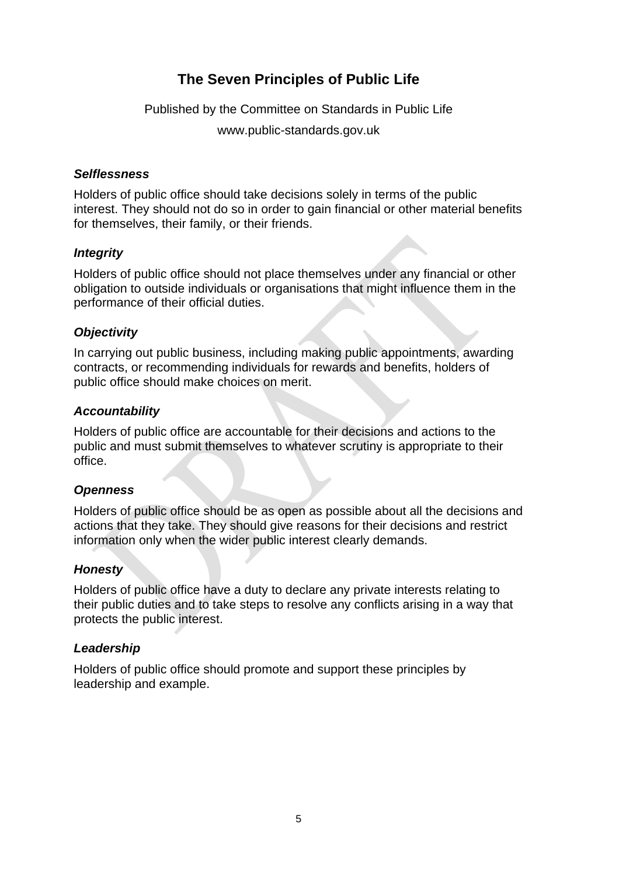# **The Seven Principles of Public Life**

Published by the Committee on Standards in Public Life

www.public-standards.gov.uk

### *Selflessness*

Holders of public office should take decisions solely in terms of the public interest. They should not do so in order to gain financial or other material benefits for themselves, their family, or their friends.

### *Integrity*

Holders of public office should not place themselves under any financial or other obligation to outside individuals or organisations that might influence them in the performance of their official duties.

### *Objectivity*

In carrying out public business, including making public appointments, awarding contracts, or recommending individuals for rewards and benefits, holders of public office should make choices on merit.

### *Accountability*

Holders of public office are accountable for their decisions and actions to the public and must submit themselves to whatever scrutiny is appropriate to their office.

### *Openness*

Holders of public office should be as open as possible about all the decisions and actions that they take. They should give reasons for their decisions and restrict information only when the wider public interest clearly demands.

### *Honesty*

Holders of public office have a duty to declare any private interests relating to their public duties and to take steps to resolve any conflicts arising in a way that protects the public interest.

### *Leadership*

Holders of public office should promote and support these principles by leadership and example.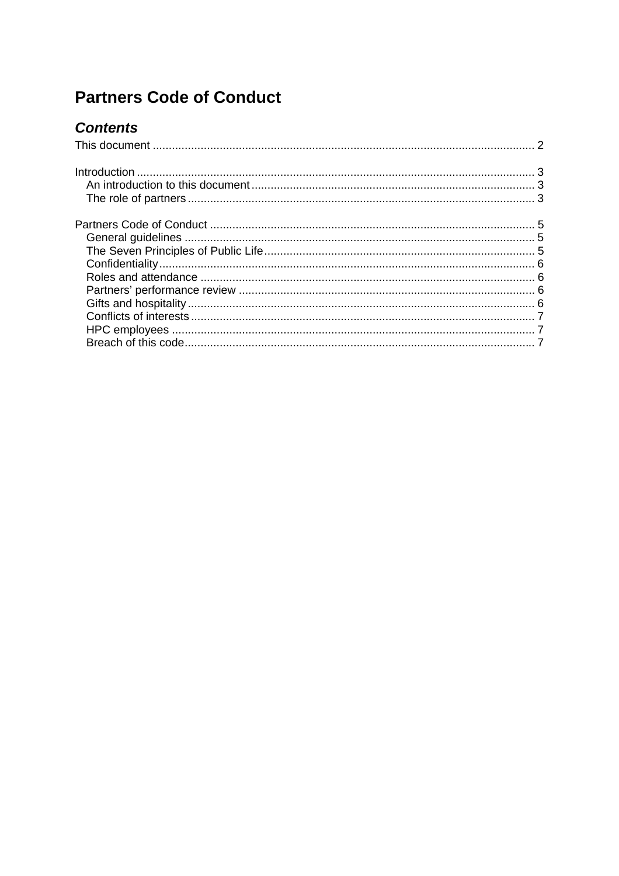# **Partners Code of Conduct**

# **Contents**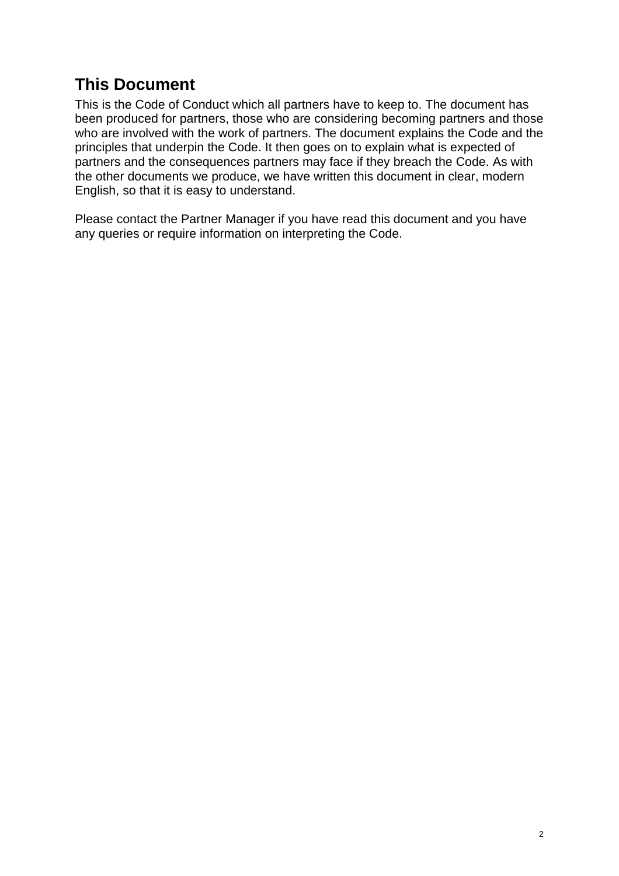# **This Document**

This is the Code of Conduct which all partners have to keep to. The document has been produced for partners, those who are considering becoming partners and those who are involved with the work of partners. The document explains the Code and the principles that underpin the Code. It then goes on to explain what is expected of partners and the consequences partners may face if they breach the Code. As with the other documents we produce, we have written this document in clear, modern English, so that it is easy to understand.

Please contact the Partner Manager if you have read this document and you have any queries or require information on interpreting the Code.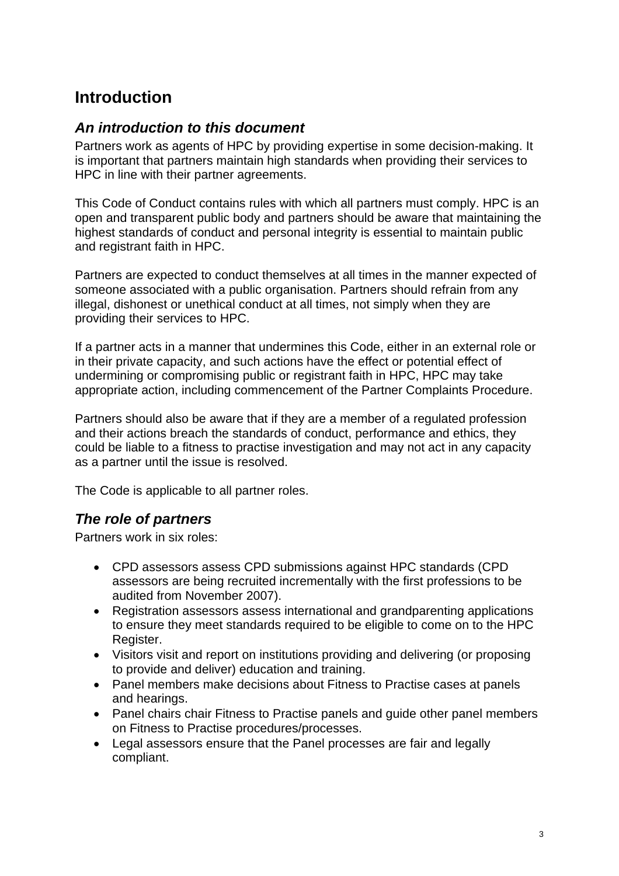# **Introduction**

# *An introduction to this document*

Partners work as agents of HPC by providing expertise in some decision-making. It is important that partners maintain high standards when providing their services to HPC in line with their partner agreements.

This Code of Conduct contains rules with which all partners must comply. HPC is an open and transparent public body and partners should be aware that maintaining the highest standards of conduct and personal integrity is essential to maintain public and registrant faith in HPC.

Partners are expected to conduct themselves at all times in the manner expected of someone associated with a public organisation. Partners should refrain from any illegal, dishonest or unethical conduct at all times, not simply when they are providing their services to HPC.

If a partner acts in a manner that undermines this Code, either in an external role or in their private capacity, and such actions have the effect or potential effect of undermining or compromising public or registrant faith in HPC, HPC may take appropriate action, including commencement of the Partner Complaints Procedure.

Partners should also be aware that if they are a member of a regulated profession and their actions breach the standards of conduct, performance and ethics, they could be liable to a fitness to practise investigation and may not act in any capacity as a partner until the issue is resolved.

The Code is applicable to all partner roles.

# *The role of partners*

Partners work in six roles:

- CPD assessors assess CPD submissions against HPC standards (CPD assessors are being recruited incrementally with the first professions to be audited from November 2007).
- Registration assessors assess international and grandparenting applications to ensure they meet standards required to be eligible to come on to the HPC Register.
- Visitors visit and report on institutions providing and delivering (or proposing to provide and deliver) education and training.
- Panel members make decisions about Fitness to Practise cases at panels and hearings.
- Panel chairs chair Fitness to Practise panels and guide other panel members on Fitness to Practise procedures/processes.
- Legal assessors ensure that the Panel processes are fair and legally compliant.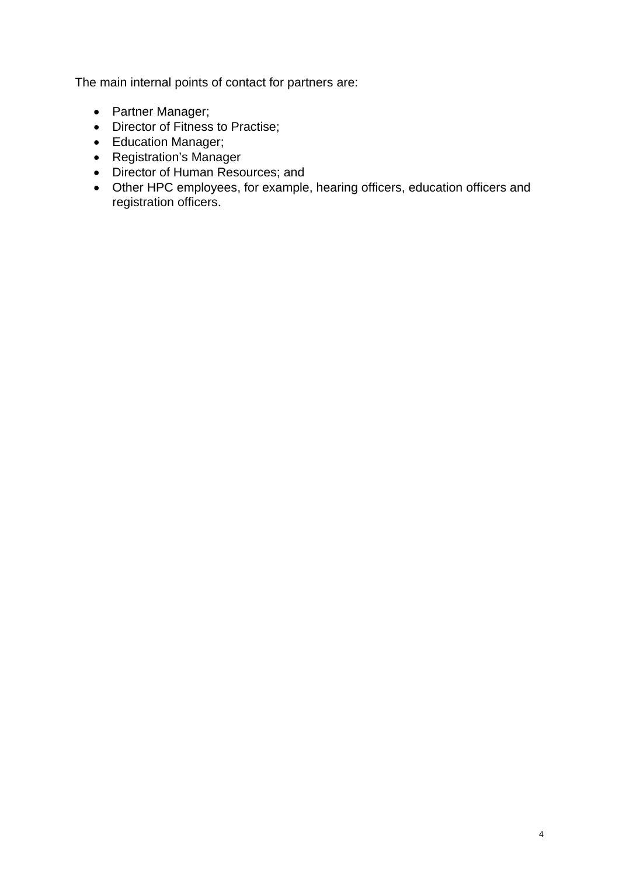The main internal points of contact for partners are:

- Partner Manager;
- Director of Fitness to Practise;
- Education Manager;
- Registration's Manager
- Director of Human Resources; and
- Other HPC employees, for example, hearing officers, education officers and registration officers.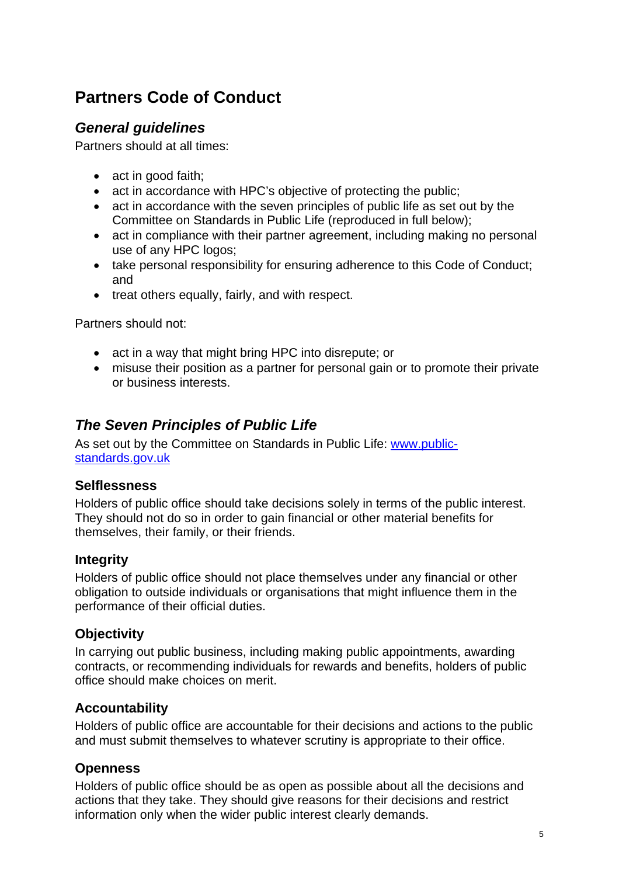# **Partners Code of Conduct**

# *General guidelines*

Partners should at all times:

- act in good faith;
- act in accordance with HPC's objective of protecting the public;
- act in accordance with the seven principles of public life as set out by the Committee on Standards in Public Life (reproduced in full below);
- act in compliance with their partner agreement, including making no personal use of any HPC logos;
- take personal responsibility for ensuring adherence to this Code of Conduct; and
- treat others equally, fairly, and with respect.

Partners should not:

- act in a way that might bring HPC into disrepute; or
- misuse their position as a partner for personal gain or to promote their private or business interests.

# *The Seven Principles of Public Life*

As set out by the Committee on Standards in Public Life: www.publicstandards.gov.uk

### **Selflessness**

Holders of public office should take decisions solely in terms of the public interest. They should not do so in order to gain financial or other material benefits for themselves, their family, or their friends.

### **Integrity**

Holders of public office should not place themselves under any financial or other obligation to outside individuals or organisations that might influence them in the performance of their official duties.

# **Objectivity**

In carrying out public business, including making public appointments, awarding contracts, or recommending individuals for rewards and benefits, holders of public office should make choices on merit.

# **Accountability**

Holders of public office are accountable for their decisions and actions to the public and must submit themselves to whatever scrutiny is appropriate to their office.

### **Openness**

Holders of public office should be as open as possible about all the decisions and actions that they take. They should give reasons for their decisions and restrict information only when the wider public interest clearly demands.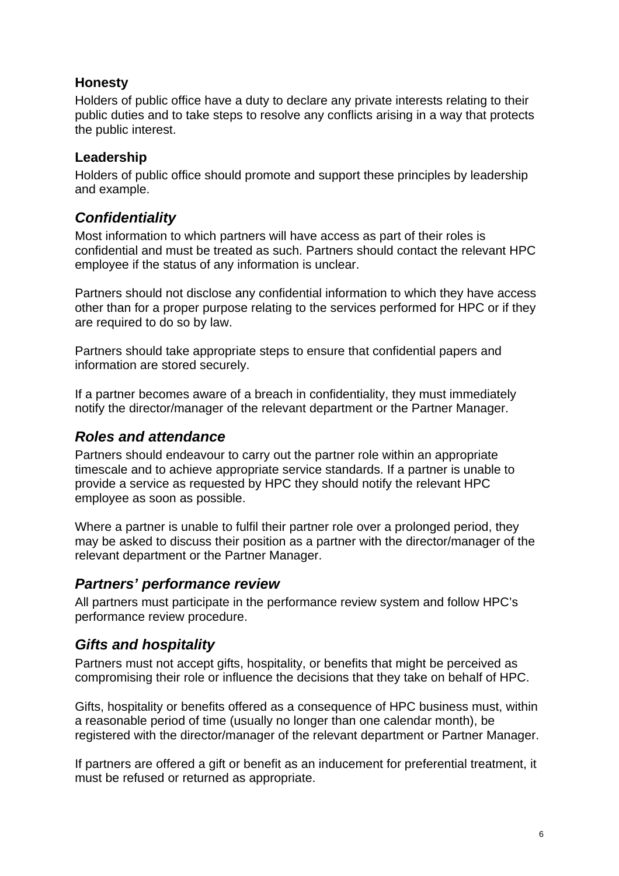# **Honesty**

Holders of public office have a duty to declare any private interests relating to their public duties and to take steps to resolve any conflicts arising in a way that protects the public interest.

### **Leadership**

Holders of public office should promote and support these principles by leadership and example.

# *Confidentiality*

Most information to which partners will have access as part of their roles is confidential and must be treated as such. Partners should contact the relevant HPC employee if the status of any information is unclear.

Partners should not disclose any confidential information to which they have access other than for a proper purpose relating to the services performed for HPC or if they are required to do so by law.

Partners should take appropriate steps to ensure that confidential papers and information are stored securely.

If a partner becomes aware of a breach in confidentiality, they must immediately notify the director/manager of the relevant department or the Partner Manager.

# *Roles and attendance*

Partners should endeavour to carry out the partner role within an appropriate timescale and to achieve appropriate service standards. If a partner is unable to provide a service as requested by HPC they should notify the relevant HPC employee as soon as possible.

Where a partner is unable to fulfil their partner role over a prolonged period, they may be asked to discuss their position as a partner with the director/manager of the relevant department or the Partner Manager.

# *Partners' performance review*

All partners must participate in the performance review system and follow HPC's performance review procedure.

# *Gifts and hospitality*

Partners must not accept gifts, hospitality, or benefits that might be perceived as compromising their role or influence the decisions that they take on behalf of HPC.

Gifts, hospitality or benefits offered as a consequence of HPC business must, within a reasonable period of time (usually no longer than one calendar month), be registered with the director/manager of the relevant department or Partner Manager.

If partners are offered a gift or benefit as an inducement for preferential treatment, it must be refused or returned as appropriate.